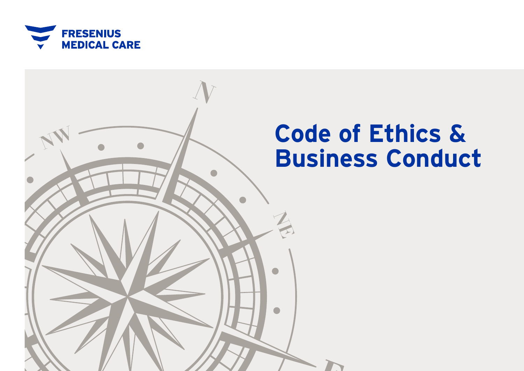

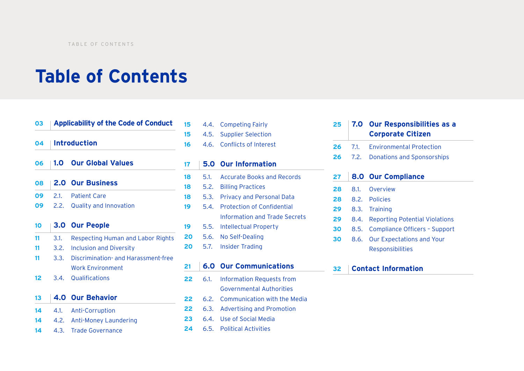## **Table of Contents**

## **Applicability of the Code of Conduct Introduction 1.0 Our Global Values 2.0 Our Business** 2.1. Patient Care 2.2. Quality and Innovation **3.0 Our People** 3.1. Respecting Human and Labor Rights 3.2. Inclusion and Diversity 3.3. Discrimination- and Harassment-free Work Environment 3.4. Qualifications **4.0 Our Behavior** 4.1. Anti-Corruption 4.2. Anti-Money Laundering 4.3. Trade Governance

|    | $17 \pm 5.0$ Our Information |
|----|------------------------------|
| 16 | 4.6. Conflicts of Interest   |
| 15 | 4.5. Supplier Selection      |
| 15 | 4.4. Competing Fairly        |

| . . | 3.0 Cui illioilillution         |
|-----|---------------------------------|
| 18  | 5.1. Accurate Books and Records |
| 18  | 5.2. Billing Practices          |
| 18  | 5.3. Privacy and Personal Data  |
| 19  | 5.4. Protection of Confidential |
|     | Information and Trade Secrets   |
| 19  | 5.5. Intellectual Property      |
| 20  | 5.6. No Self-Dealing            |

5.7. Insider Trading

## **6.0 Our Communications**

- 6.1. Information Requests from Governmental Authorities
- 6.2. Communication with the Media
- 6.3. Advertising and Promotion
- 6.4. Use of Social Media
- 6.5. Political Activities

| 25 |      | <b>7.0 Our Responsibilities as a</b><br><b>Corporate Citizen</b> |
|----|------|------------------------------------------------------------------|
| 26 | 7.1. | <b>Environmental Protection</b>                                  |
| 26 | 7.2. | <b>Donations and Sponsorships</b>                                |
| 27 |      | <b>8.0 Our Compliance</b>                                        |
| 28 | 8.1. | Overview                                                         |
| 28 |      | 8.2. Policies                                                    |
| 29 | 8.3. | Training                                                         |
| 29 | 8.4. | <b>Reporting Potential Violations</b>                            |
| 30 | 8.5. | Compliance Officers - Support                                    |
| 30 | 8.6. | <b>Our Expectations and Your</b>                                 |
|    |      | Responsibilities                                                 |

## **Contact Information**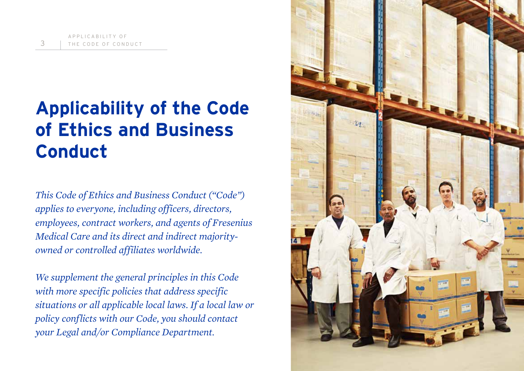# **Applicability of the Code of Ethics and Business Conduct**

*This Code of Ethics and Business Conduct ("Code") applies to everyone, including officers, directors, employees, contract workers, and agents of Fresenius Medical Care and its direct and indirect majorityowned or controlled affiliates worldwide.*

*We supplement the general principles in this Code with more specific policies that address specific situations or all applicable local laws. If a local law or policy conflicts with our Code, you should contact your Legal and/or Compliance Department.*

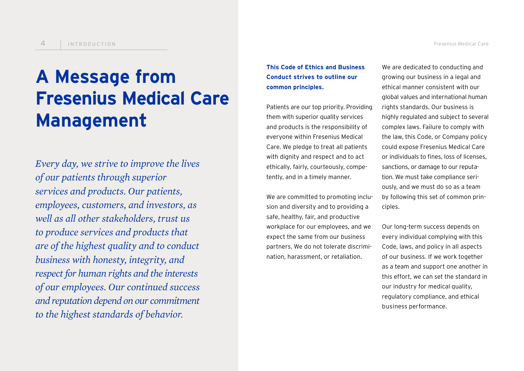# **A Message from Fresenius Medical Care Management**

*Every day, we strive to improve the lives of our patients through superior services and products. Our patients, employees, customers, and investors, as well as all other stakeholders, trust us to produce services and products that are of the highest quality and to conduct business with honesty, integrity, and respect for human rights and the interests of our employees. Our continued success and reputation depend on our commitment to the highest standards of behavior.*

## **This Code of Ethics and Business Conduct strives to outline our common principles.**

Patients are our top priority. Providing them with superior quality services and products is the responsibility of everyone within Fresenius Medical Care. We pledge to treat all patients with dignity and respect and to act ethically, fairly, courteously, competently, and in a timely manner.

We are committed to promoting inclusion and diversity and to providing a safe, healthy, fair, and productive workplace for our employees, and we expect the same from our business partners. We do not tolerate discrimination, harassment, or retaliation.

We are dedicated to conducting and growing our business in a legal and ethical manner consistent with our global values and international human rights standards. Our business is highly regulated and subject to several complex laws. Failure to comply with the law, this Code, or Company policy could expose Fresenius Medical Care or individuals to fines, loss of licenses, sanctions, or damage to our reputation. We must take compliance seriously, and we must do so as a team by following this set of common principles.

Our long-term success depends on every individual complying with this Code, laws, and policy in all aspects of our business. If we work together as a team and support one another in this effort, we can set the standard in our industry for medical quality, regulatory compliance, and ethical business performance.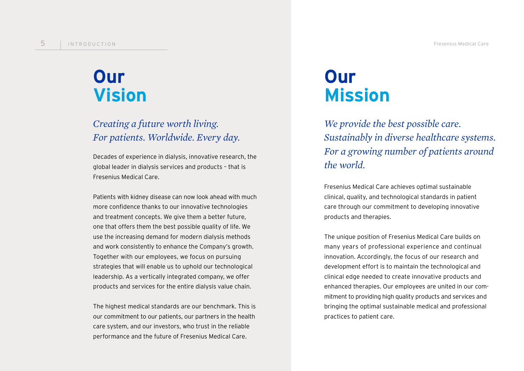## **Our Vision**

## *Creating a future worth living. For patients. Worldwide. Every day.*

Decades of experience in dialysis, innovative research, the global leader in dialysis services and products – that is Fresenius Medical Care.

Patients with kidney disease can now look ahead with much more confidence thanks to our innovative technologies and treatment concepts. We give them a better future, one that offers them the best possible quality of life. We use the increasing demand for modern dialysis methods and work consistently to enhance the Company's growth. Together with our employees, we focus on pursuing strategies that will enable us to uphold our technological leadership. As a vertically integrated company, we offer products and services for the entire dialysis value chain.

The highest medical standards are our benchmark. This is our commitment to our patients, our partners in the health care system, and our investors, who trust in the reliable performance and the future of Fresenius Medical Care.

## **Our Mission**

*We provide the best possible care. Sustainably in diverse healthcare systems. For a growing number of patients around the world.* 

Fresenius Medical Care achieves optimal sustainable clinical, quality, and technological standards in patient care through our commitment to developing innovative products and therapies.

The unique position of Fresenius Medical Care builds on many years of professional experience and continual innovation. Accordingly, the focus of our research and development effort is to maintain the technological and clinical edge needed to create innovative products and enhanced therapies. Our employees are united in our commitment to providing high quality products and services and bringing the optimal sustainable medical and professional practices to patient care.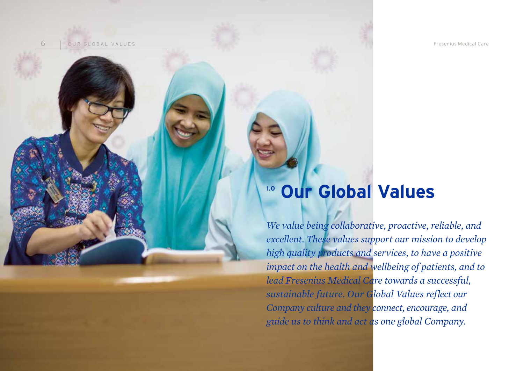6 OUR GLOBAL VALUES Fresenius Medical Care

## **1.0 Our Global Values**

*We value being collaborative, proactive, reliable, and excellent. These values support our mission to develop high quality products and services, to have a positive impact on the health and wellbeing of patients, and to lead Fresenius Medical Care towards a successful, sustainable future. Our Global Values reflect our Company culture and they connect, encourage, and guide us to think and act as one global Company.*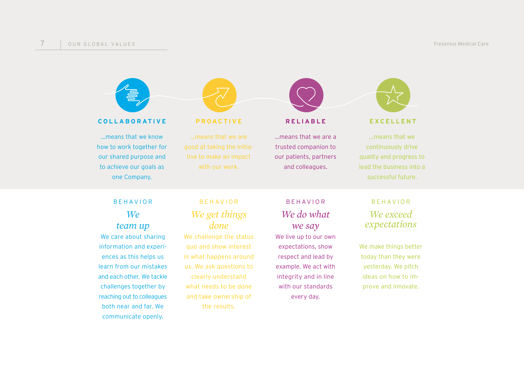

**COLLABORATIVE PROACTIVE RELIABLE EXCELLENT**

…means that we know how to work together for our shared purpose and to achieve our goals as one Company.



…means that we are good at taking the initiative to make an impact with our work.



…means that we are a trusted companion to our patients, partners and colleagues.



…means that we continuously drive quality and progress to lead the business into a successful future.

## BEHAVIOR *We*

*team up*

We care about sharing information and experiences as this helps us learn from our mistakes and each other. We tackle challenges together by reaching out to colleagues both near and far. We communicate openly.

## BEHAVIOR *We get things done*

We challenge the status quo and show interest in what happens around us. We ask questions to clearly understand what needs to be done and take ownership of the results.

## BEHAVIOR *We do what we say* We live up to our own

expectations, show respect and lead by example. We act with integrity and in line with our standards every day.

## BEHAVIOR *We exceed expectations*

We make things better today than they were yesterday. We pitch ideas on how to improve and innovate.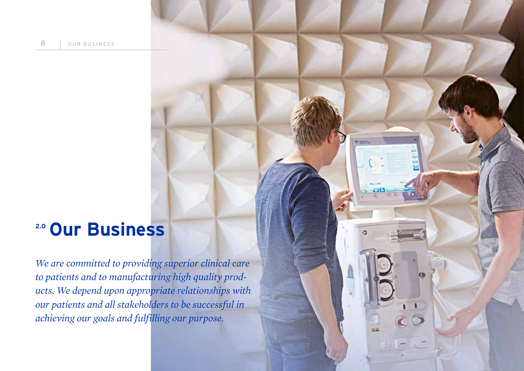## **2.0 Our Business**

*We are committed to providing superior clinical care to patients and to manufacturing high quality products. We depend upon appropriate relationships with our patients and all stakeholders to be successful in achieving our goals and fulfilling our purpose.* 

 $7 - 1$ 

Ø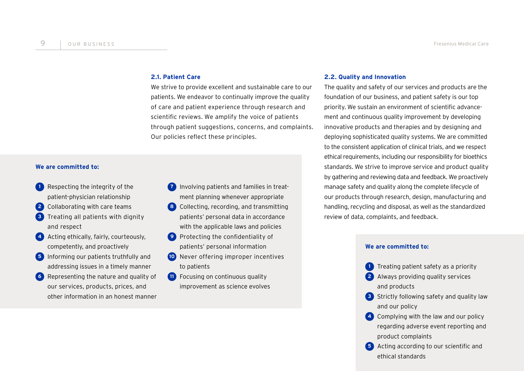## **2.1. Patient Care**

We strive to provide excellent and sustainable care to our patients. We endeavor to continually improve the quality of care and patient experience through research and scientific reviews. We amplify the voice of patients through patient suggestions, concerns, and complaints. Our policies reflect these principles.

## **We are committed to:**

- **1** Respecting the integrity of the patient-physician relationship
- **2** Collaborating with care teams
- **3** Treating all patients with dignity and respect
- **4** Acting ethically, fairly, courteously, competently, and proactively
- **5** Informing our patients truthfully and addressing issues in a timely manner
- **6** Representing the nature and quality of our services, products, prices, and other information in an honest manner
- **7** Involving patients and families in treatment planning whenever appropriate
- **8** Collecting, recording, and transmitting patients' personal data in accordance with the applicable laws and policies
- **9** Protecting the confidentiality of patients' personal information
- **10** Never offering improper incentives to patients
- **11** Focusing on continuous quality improvement as science evolves

### **2.2. Quality and Innovation**

The quality and safety of our services and products are the foundation of our business, and patient safety is our top priority. We sustain an environment of scientific advancement and continuous quality improvement by developing innovative products and therapies and by designing and deploying sophisticated quality systems. We are committed to the consistent application of clinical trials, and we respect ethical requirements, including our responsibility for bioethics standards. We strive to improve service and product quality by gathering and reviewing data and feedback. We proactively manage safety and quality along the complete lifecycle of our products through research, design, manufacturing and handling, recycling and disposal, as well as the standardized review of data, complaints, and feedback.

### **We are committed to:**

- **1** Treating patient safety as a priority
- **2** Always providing quality services and products
- **3** Strictly following safety and quality law and our policy
- **4** Complying with the law and our policy regarding adverse event reporting and product complaints
- **5** Acting according to our scientific and ethical standards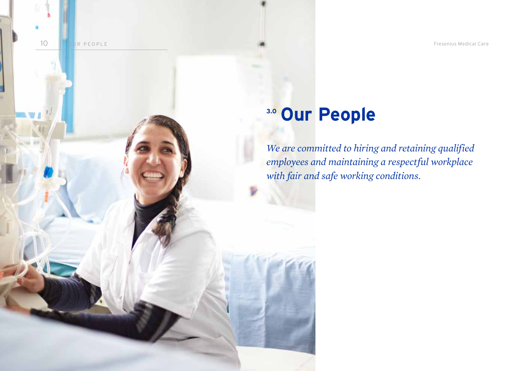10 OUR PEOPLE Fresenius Medical Care

# **3.0 Our People**

*We are committed to hiring and retaining qualified employees and maintaining a respectful workplace with fair and safe working conditions.*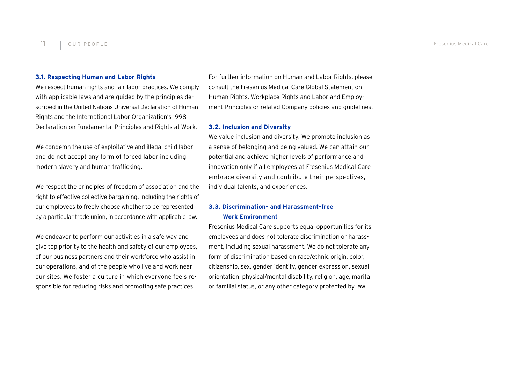#### **3.1. Respecting Human and Labor Rights**

We respect human rights and fair labor practices. We comply with applicable laws and are guided by the principles described in the United Nations Universal Declaration of Human Rights and the International Labor Organization's 1998 Declaration on Fundamental Principles and Rights at Work.

We condemn the use of exploitative and illegal child labor and do not accept any form of forced labor including modern slavery and human trafficking.

We respect the principles of freedom of association and the right to effective collective bargaining, including the rights of our employees to freely choose whether to be represented by a particular trade union, in accordance with applicable law.

We endeavor to perform our activities in a safe way and give top priority to the health and safety of our employees, of our business partners and their workforce who assist in our operations, and of the people who live and work near our sites. We foster a culture in which everyone feels responsible for reducing risks and promoting safe practices.

For further information on Human and Labor Rights, please consult the Fresenius Medical Care Global Statement on Human Rights, Workplace Rights and Labor and Employment Principles or related Company policies and guidelines.

### **3.2. Inclusion and Diversity**

We value inclusion and diversity. We promote inclusion as a sense of belonging and being valued. We can attain our potential and achieve higher levels of performance and innovation only if all employees at Fresenius Medical Care embrace diversity and contribute their perspectives, individual talents, and experiences.

## **3.3. Discrimination- and Harassment-free Work Environment**

Fresenius Medical Care supports equal opportunities for its employees and does not tolerate discrimination or harassment, including sexual harassment. We do not tolerate any form of discrimination based on race/ethnic origin, color, citizenship, sex, gender identity, gender expression, sexual orientation, physical/mental disability, religion, age, marital or familial status, or any other category protected by law.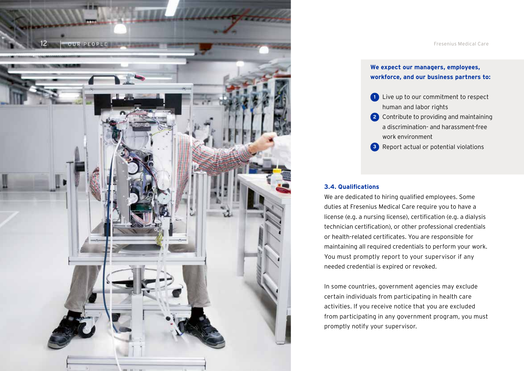

## **We expect our managers, employees, workforce, and our business partners to:**

- **1** Live up to our commitment to respect human and labor rights
- **2** Contribute to providing and maintaining a discrimination- and harassment-free work environment
- **3** Report actual or potential violations

## **3.4. Qualifications**

We are dedicated to hiring qualified employees. Some duties at Fresenius Medical Care require you to have a license (e.g. a nursing license), certification (e.g. a dialysis technician certification), or other professional credentials or health-related certificates. You are responsible for maintaining all required credentials to perform your work. You must promptly report to your supervisor if any needed credential is expired or revoked.

In some countries, government agencies may exclude certain individuals from participating in health care activities. If you receive notice that you are excluded from participating in any government program, you must promptly notify your supervisor.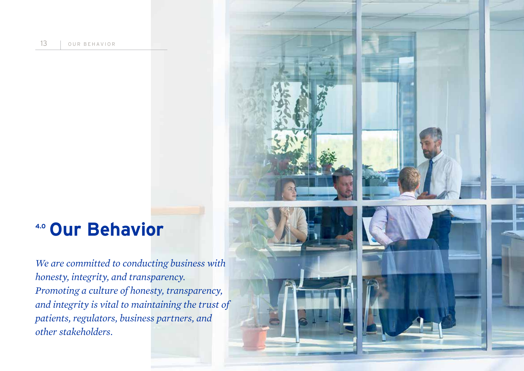13 | OUR BEHAVIOR

## **4.0 Our Behavior**

*We are committed to conducting business with honesty, integrity, and transparency. Promoting a culture of honesty, transparency, and integrity is vital to maintaining the trust of patients, regulators, business partners, and other stakeholders.* 



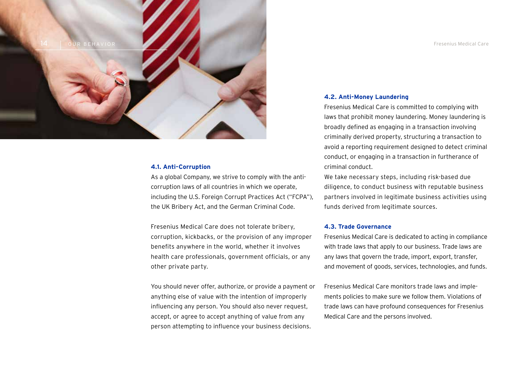

## **4.1. Anti-Corruption**

As a global Company, we strive to comply with the anticorruption laws of all countries in which we operate, including the U.S. Foreign Corrupt Practices Act ("FCPA"), the UK Bribery Act, and the German Criminal Code.

Fresenius Medical Care does not tolerate bribery, corruption, kickbacks, or the provision of any improper benefits anywhere in the world, whether it involves health care professionals, government officials, or any other private party.

You should never offer, authorize, or provide a payment or anything else of value with the intention of improperly influencing any person. You should also never request, accept, or agree to accept anything of value from any person attempting to influence your business decisions.

#### **4.2. Anti-Money Laundering**

Fresenius Medical Care is committed to complying with laws that prohibit money laundering. Money laundering is broadly defined as engaging in a transaction involving criminally derived property, structuring a transaction to avoid a reporting requirement designed to detect criminal conduct, or engaging in a transaction in furtherance of criminal conduct.

We take necessary steps, including risk-based due diligence, to conduct business with reputable business partners involved in legitimate business activities using funds derived from legitimate sources.

### **4.3. Trade Governance**

Fresenius Medical Care is dedicated to acting in compliance with trade laws that apply to our business. Trade laws are any laws that govern the trade, import, export, transfer, and movement of goods, services, technologies, and funds.

Fresenius Medical Care monitors trade laws and implements policies to make sure we follow them. Violations of trade laws can have profound consequences for Fresenius Medical Care and the persons involved.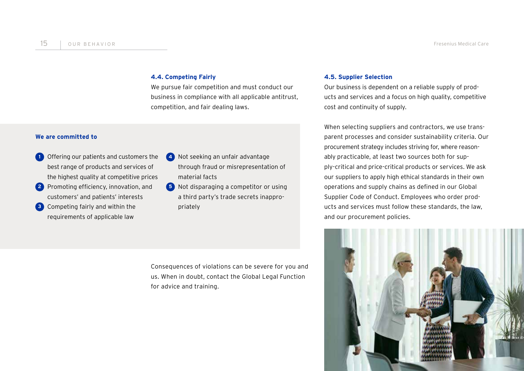## **4.4. Competing Fairly**

We pursue fair competition and must conduct our business in compliance with all applicable antitrust, competition, and fair dealing laws.

## **We are committed to**

- **1** Offering our patients and customers the best range of products and services of the highest quality at competitive prices
- **2** Promoting efficiency, innovation, and customers' and patients' interests
- **3** Competing fairly and within the requirements of applicable law
- **4** Not seeking an unfair advantage through fraud or misrepresentation of material facts
- **5** Not disparaging a competitor or using a third party's trade secrets inappropriately

Consequences of violations can be severe for you and us. When in doubt, contact the Global Legal Function for advice and training.

### **4.5. Supplier Selection**

Our business is dependent on a reliable supply of products and services and a focus on high quality, competitive cost and continuity of supply.

When selecting suppliers and contractors, we use transparent processes and consider sustainability criteria. Our procurement strategy includes striving for, where reasonably practicable, at least two sources both for supply-critical and price-critical products or services. We ask our suppliers to apply high ethical standards in their own operations and supply chains as defined in our Global Supplier Code of Conduct. Employees who order products and services must follow these standards, the law, and our procurement policies.

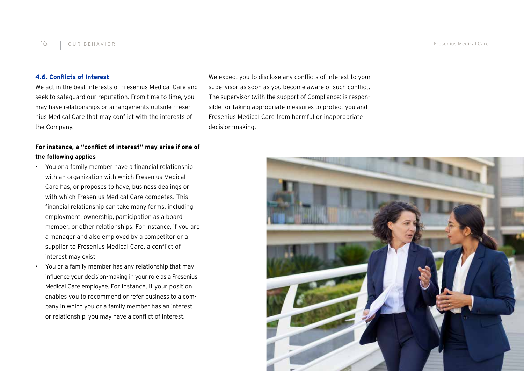### **4.6. Conflicts of Interest**

We act in the best interests of Fresenius Medical Care and seek to safeguard our reputation. From time to time, you may have relationships or arrangements outside Fresenius Medical Care that may conflict with the interests of the Company.

**For instance, a "conflict of interest" may arise if one of the following applies**

- You or a family member have a financial relationship with an organization with which Fresenius Medical Care has, or proposes to have, business dealings or with which Fresenius Medical Care competes. This financial relationship can take many forms, including employment, ownership, participation as a board member, or other relationships. For instance, if you are a manager and also employed by a competitor or a supplier to Fresenius Medical Care, a conflict of interest may exist
	- You or a family member has any relationship that may influence your decision-making in your role as a Fresenius Medical Care employee. For instance, if your position enables you to recommend or refer business to a company in which you or a family member has an interest or relationship, you may have a conflict of interest.

We expect you to disclose any conflicts of interest to your supervisor as soon as you become aware of such conflict. The supervisor (with the support of Compliance) is responsible for taking appropriate measures to protect you and Fresenius Medical Care from harmful or inappropriate decision-making.

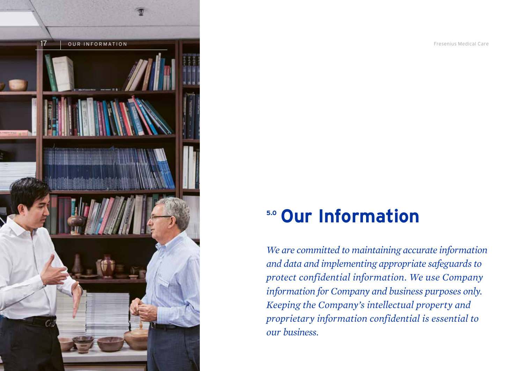

## **5.0 Our Information**

*We are committed to maintaining accurate information and data and implementing appropriate safeguards to protect confidential information. We use Company information for Company and business purposes only. Keeping the Company's intellectual property and proprietary information confidential is essential to our business.*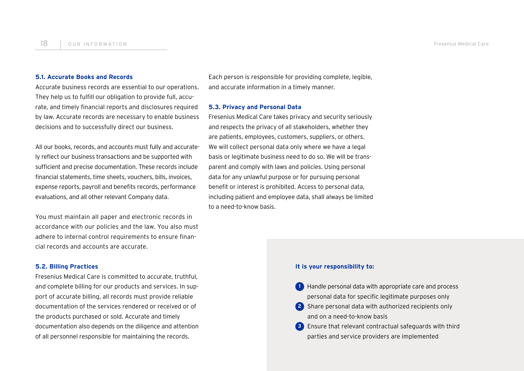#### **5.1. Accurate Books and Records**

Accurate business records are essential to our operations. They help us to fulfill our obligation to provide full, accurate, and timely financial reports and disclosures required by law. Accurate records are necessary to enable business decisions and to successfully direct our business.

All our books, records, and accounts must fully and accurately reflect our business transactions and be supported with sufficient and precise documentation. These records include financial statements, time sheets, vouchers, bills, invoices, expense reports, payroll and benefits records, performance evaluations, and all other relevant Company data.

You must maintain all paper and electronic records in accordance with our policies and the law. You also must adhere to internal control requirements to ensure financial records and accounts are accurate.

### **5.2. Billing Practices**

Fresenius Medical Care is committed to accurate, truthful, and complete billing for our products and services. In support of accurate billing, all records must provide reliable documentation of the services rendered or received or of the products purchased or sold. Accurate and timely documentation also depends on the diligence and attention of all personnel responsible for maintaining the records.

Each person is responsible for providing complete, legible, and accurate information in a timely manner.

### **5.3. Privacy and Personal Data**

Fresenius Medical Care takes privacy and security seriously and respects the privacy of all stakeholders, whether they are patients, employees, customers, suppliers, or others. We will collect personal data only where we have a legal basis or legitimate business need to do so. We will be transparent and comply with laws and policies. Using personal data for any unlawful purpose or for pursuing personal benefit or interest is prohibited. Access to personal data, including patient and employee data, shall always be limited to a need-to-know basis.

### **It is your responsibility to:**

- **1** Handle personal data with appropriate care and process personal data for specific legitimate purposes only
- **2** Share personal data with authorized recipients only and on a need-to-know basis
- **3** Ensure that relevant contractual safeguards with third parties and service providers are implemented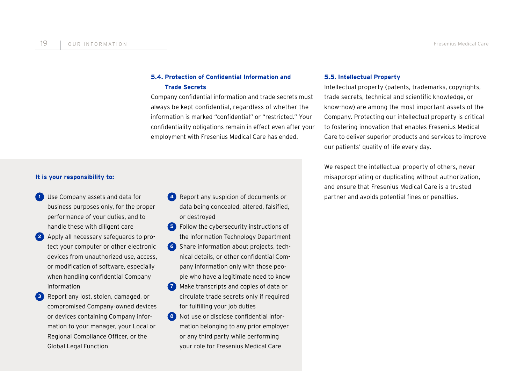## **5.4. Protection of Confidential Information and Trade Secrets**

Company confidential information and trade secrets must always be kept confidential, regardless of whether the information is marked "confidential" or "restricted." Your confidentiality obligations remain in effect even after your employment with Fresenius Medical Care has ended.

### **It is your responsibility to:**

- **1** Use Company assets and data for business purposes only, for the proper performance of your duties, and to handle these with diligent care
- **2** Apply all necessary safeguards to protect your computer or other electronic devices from unauthorized use, access, or modification of software, especially when handling confidential Company information
- **3** Report any lost, stolen, damaged, or compromised Company-owned devices or devices containing Company information to your manager, your Local or Regional Compliance Officer, or the Global Legal Function
- **4** Report any suspicion of documents or data being concealed, altered, falsified, or destroyed
- **5** Follow the cybersecurity instructions of the Information Technology Department
- **6** Share information about projects, technical details, or other confidential Company information only with those people who have a legitimate need to know
- **7** Make transcripts and copies of data or circulate trade secrets only if required for fulfilling your job duties
- **8** Not use or disclose confidential information belonging to any prior employer or any third party while performing your role for Fresenius Medical Care

### **5.5. Intellectual Property**

Intellectual property (patents, trademarks, copyrights, trade secrets, technical and scientific knowledge, or know-how) are among the most important assets of the Company. Protecting our intellectual property is critical to fostering innovation that enables Fresenius Medical Care to deliver superior products and services to improve our patients' quality of life every day.

We respect the intellectual property of others, never misappropriating or duplicating without authorization, and ensure that Fresenius Medical Care is a trusted partner and avoids potential fines or penalties.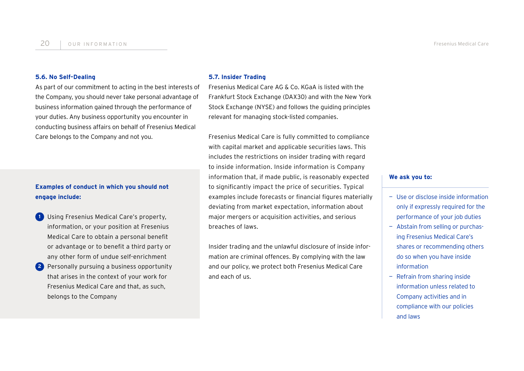#### **5.6. No Self-Dealing**

As part of our commitment to acting in the best interests of the Company, you should never take personal advantage of business information gained through the performance of your duties. Any business opportunity you encounter in conducting business affairs on behalf of Fresenius Medical Care belongs to the Company and not you.

## **Examples of conduct in which you should not engage include:**

**1** Using Fresenius Medical Care's property, information, or your position at Fresenius Medical Care to obtain a personal benefit or advantage or to benefit a third party or any other form of undue self-enrichment **2** Personally pursuing a business opportunity that arises in the context of your work for Fresenius Medical Care and that, as such, belongs to the Company

#### **5.7. Insider Trading**

Fresenius Medical Care AG & Co. KGaA is listed with the Frankfurt Stock Exchange (DAX30) and with the New York Stock Exchange (NYSE) and follows the guiding principles relevant for managing stock-listed companies.

Fresenius Medical Care is fully committed to compliance with capital market and applicable securities laws. This includes the restrictions on insider trading with regard to inside information. Inside information is Company information that, if made public, is reasonably expected to significantly impact the price of securities. Typical examples include forecasts or financial figures materially deviating from market expectation, information about major mergers or acquisition activities, and serious breaches of laws.

Insider trading and the unlawful disclosure of inside information are criminal offences. By complying with the law and our policy, we protect both Fresenius Medical Care and each of us.

#### **We ask you to:**

- Use or disclose inside information only if expressly required for the performance of your job duties
- Abstain from selling or purchasing Fresenius Medical Care's shares or recommending others do so when you have inside information
- Refrain from sharing inside information unless related to Company activities and in compliance with our policies and laws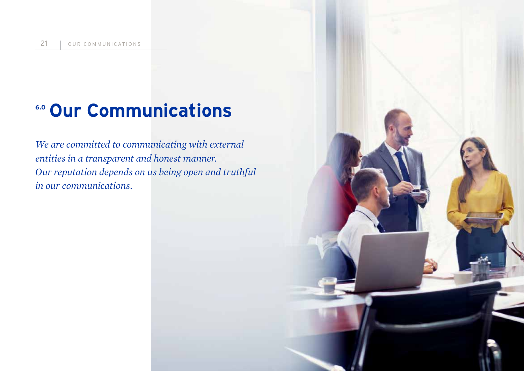# **6.0 Our Communications**

*We are committed to communicating with external entities in a transparent and honest manner. Our reputation depends on us being open and truthful in our communications.*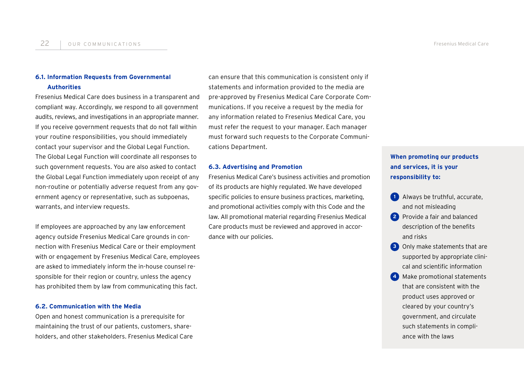## **6.1. Information Requests from Governmental Authorities**

Fresenius Medical Care does business in a transparent and compliant way. Accordingly, we respond to all government audits, reviews, and investigations in an appropriate manner. If you receive government requests that do not fall within your routine responsibilities, you should immediately contact your supervisor and the Global Legal Function. The Global Legal Function will coordinate all responses to such government requests. You are also asked to contact the Global Legal Function immediately upon receipt of any non-routine or potentially adverse request from any government agency or representative, such as subpoenas, warrants, and interview requests.

If employees are approached by any law enforcement agency outside Fresenius Medical Care grounds in connection with Fresenius Medical Care or their employment with or engagement by Fresenius Medical Care, employees are asked to immediately inform the in-house counsel responsible for their region or country, unless the agency has prohibited them by law from communicating this fact.

### **6.2. Communication with the Media**

Open and honest communication is a prerequisite for maintaining the trust of our patients, customers, shareholders, and other stakeholders. Fresenius Medical Care can ensure that this communication is consistent only if statements and information provided to the media are pre-approved by Fresenius Medical Care Corporate Communications. If you receive a request by the media for any information related to Fresenius Medical Care, you must refer the request to your manager. Each manager must forward such requests to the Corporate Communications Department.

## **6.3. Advertising and Promotion**

Fresenius Medical Care's business activities and promotion of its products are highly regulated. We have developed specific policies to ensure business practices, marketing, and promotional activities comply with this Code and the law. All promotional material regarding Fresenius Medical Care products must be reviewed and approved in accordance with our policies.

## **When promoting our products and services, it is your responsibility to:**

- **1** Always be truthful, accurate, and not misleading
- **2** Provide a fair and balanced description of the benefits and risks
- **3** Only make statements that are supported by appropriate clinical and scientific information
- **4** Make promotional statements that are consistent with the product uses approved or cleared by your country's government, and circulate such statements in compliance with the laws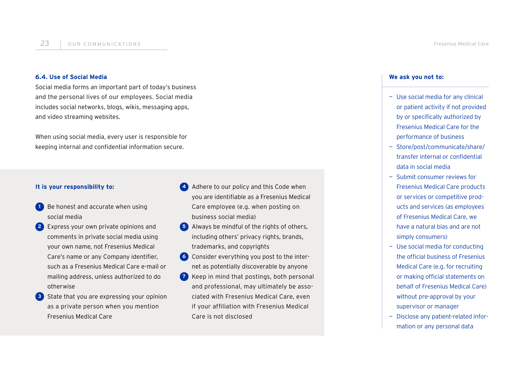### **6.4. Use of Social Media**

Social media forms an important part of today's business and the personal lives of our employees. Social media includes social networks, blogs, wikis, messaging apps, and video streaming websites.

When using social media, every user is responsible for keeping internal and confidential information secure.

## **It is your responsibility to:**

- **1** Be honest and accurate when using social media
- **2** Express your own private opinions and comments in private social media using your own name, not Fresenius Medical Care's name or any Company identifier, such as a Fresenius Medical Care e-mail or mailing address, unless authorized to do otherwise
- **3** State that you are expressing your opinion as a private person when you mention Fresenius Medical Care
- **4** Adhere to our policy and this Code when you are identifiable as a Fresenius Medical Care employee (e.g. when posting on business social media)
- **5** Always be mindful of the rights of others, including others' privacy rights, brands, trademarks, and copyrights
- **6** Consider everything you post to the internet as potentially discoverable by anyone
- **7** Keep in mind that postings, both personal and professional, may ultimately be associated with Fresenius Medical Care, even if your affiliation with Fresenius Medical Care is not disclosed

### **We ask you not to:**

- Use social media for any clinical or patient activity if not provided by or specifically authorized by Fresenius Medical Care for the performance of business
- Store/post/communicate/share/ transfer internal or confidential data in social media
- Submit consumer reviews for Fresenius Medical Care products or services or competitive products and services (as employees of Fresenius Medical Care, we have a natural bias and are not simply consumers)
- Use social media for conducting the official business of Fresenius Medical Care (e.g. for recruiting or making official statements on behalf of Fresenius Medical Care) without pre-approval by your supervisor or manager
- Disclose any patient-related information or any personal data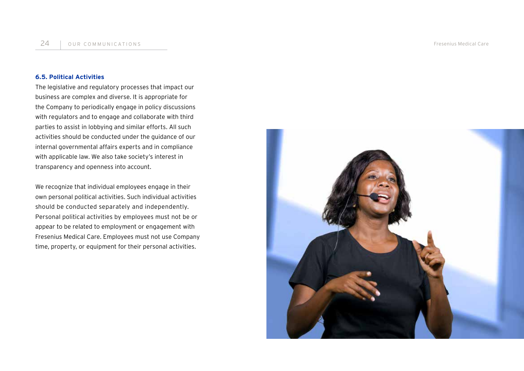## **6.5. Political Activities**

The legislative and regulatory processes that impact our business are complex and diverse. It is appropriate for the Company to periodically engage in policy discussions with regulators and to engage and collaborate with third parties to assist in lobbying and similar efforts. All such activities should be conducted under the guidance of our internal governmental affairs experts and in compliance with applicable law. We also take society's interest in transparency and openness into account.

We recognize that individual employees engage in their own personal political activities. Such individual activities should be conducted separately and independently. Personal political activities by employees must not be or appear to be related to employment or engagement with Fresenius Medical Care. Employees must not use Company time, property, or equipment for their personal activities.

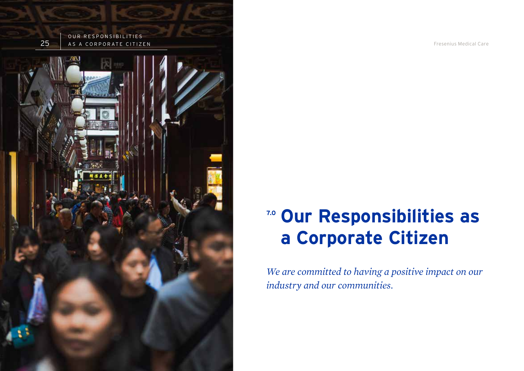

# **7.0 Our Responsibilities as a Corporate Citizen**

*We are committed to having a positive impact on our industry and our communities.*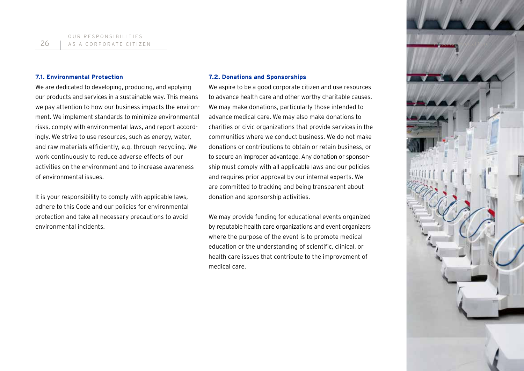

#### **7.1. Environmental Protection**

We are dedicated to developing, producing, and applying our products and services in a sustainable way. This means we pay attention to how our business impacts the environment. We implement standards to minimize environmental risks, comply with environmental laws, and report accordingly. We strive to use resources, such as energy, water, and raw materials efficiently, e.g. through recycling. We work continuously to reduce adverse effects of our activities on the environment and to increase awareness of environmental issues.

It is your responsibility to comply with applicable laws, adhere to this Code and our policies for environmental protection and take all necessary precautions to avoid environmental incidents.

#### **7.2. Donations and Sponsorships**

We aspire to be a good corporate citizen and use resources to advance health care and other worthy charitable causes. We may make donations, particularly those intended to advance medical care. We may also make donations to charities or civic organizations that provide services in the communities where we conduct business. We do not make donations or contributions to obtain or retain business, or to secure an improper advantage. Any donation or sponsorship must comply with all applicable laws and our policies and requires prior approval by our internal experts. We are committed to tracking and being transparent about donation and sponsorship activities.

We may provide funding for educational events organized by reputable health care organizations and event organizers where the purpose of the event is to promote medical education or the understanding of scientific, clinical, or health care issues that contribute to the improvement of medical care.

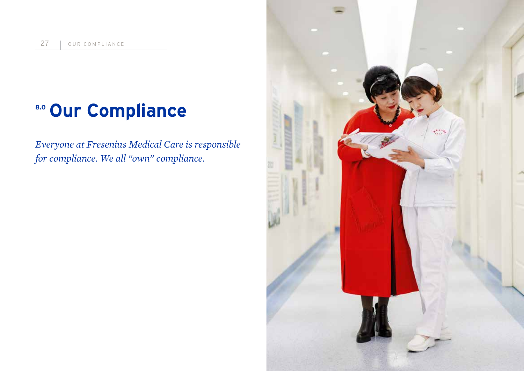# **8.0 Our Compliance**

*Everyone at Fresenius Medical Care is responsible for compliance. We all "own" compliance.* 

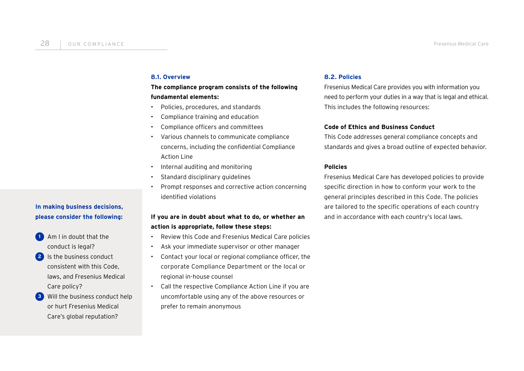## **8.1. Overview**

## **The compliance program consists of the following fundamental elements:**

- Policies, procedures, and standards
- Compliance training and education
- Compliance officers and committees
- Various channels to communicate compliance concerns, including the confidential Compliance Action Line
- Internal auditing and monitoring
- Standard disciplinary guidelines
- Prompt responses and corrective action concerning identified violations

## **If you are in doubt about what to do, or whether an action is appropriate, follow these steps:**

- Review this Code and Fresenius Medical Care policies
- Ask your immediate supervisor or other manager
- Contact your local or regional compliance officer, the corporate Compliance Department or the local or regional in-house counsel
- Call the respective Compliance Action Line if you are uncomfortable using any of the above resources or prefer to remain anonymous

## **8.2. Policies**

Fresenius Medical Care provides you with information you need to perform your duties in a way that is legal and ethical. This includes the following resources:

## **Code of Ethics and Business Conduct**

This Code addresses general compliance concepts and standards and gives a broad outline of expected behavior.

## **Policies**

Fresenius Medical Care has developed policies to provide specific direction in how to conform your work to the general principles described in this Code. The policies are tailored to the specific operations of each country and in accordance with each country's local laws.

## **In making business decisions, please consider the following:**

- **1** Am I in doubt that the conduct is legal?
- **2** Is the business conduct consistent with this Code, laws, and Fresenius Medical Care policy?
- **3** Will the business conduct help or hurt Fresenius Medical Care's global reputation?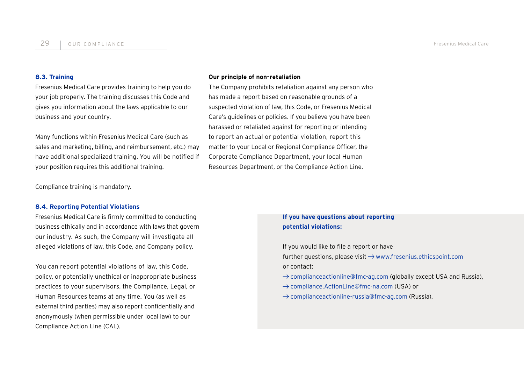### **8.3. Training**

Fresenius Medical Care provides training to help you do your job properly. The training discusses this Code and gives you information about the laws applicable to our business and your country.

Many functions within Fresenius Medical Care (such as sales and marketing, billing, and reimbursement, etc.) may have additional specialized training. You will be notified if your position requires this additional training.

#### **Our principle of non-retaliation**

The Company prohibits retaliation against any person who has made a report based on reasonable grounds of a suspected violation of law, this Code, or Fresenius Medical Care's guidelines or policies. If you believe you have been harassed or retaliated against for reporting or intending to report an actual or potential violation, report this matter to your Local or Regional Compliance Officer, the Corporate Compliance Department, your local Human Resources Department, or the Compliance Action Line.

Compliance training is mandatory.

### **8.4. Reporting Potential Violations**

Fresenius Medical Care is firmly committed to conducting business ethically and in accordance with laws that govern our industry. As such, the Company will investigate all alleged violations of law, this Code, and Company policy.

You can report potential violations of law, this Code, policy, or potentially unethical or inappropriate business practices to your supervisors, the Compliance, Legal, or Human Resources teams at any time. You (as well as external third parties) may also report confidentially and anonymously (when permissible under local law) to our Compliance Action Line (CAL).

## **If you have questions about reporting potential violations:**

If you would like to file a report or have further questions, please visit  $\rightarrow$  www.fresenius.ethicspoint.com or contact:

- $\rightarrow$  complianceactionline@fmc-ag.com (globally except USA and Russia),
- → compliance.ActionLine@fmc-na.com (USA) or
- $\rightarrow$  complianceactionline-russia@fmc-ag.com (Russia).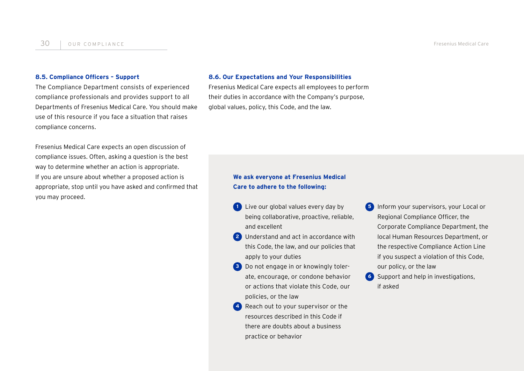## **8.5. Compliance Officers – Support**

The Compliance Department consists of experienced compliance professionals and provides support to all Departments of Fresenius Medical Care. You should make use of this resource if you face a situation that raises compliance concerns.

Fresenius Medical Care expects an open discussion of compliance issues. Often, asking a question is the best way to determine whether an action is appropriate. If you are unsure about whether a proposed action is appropriate, stop until you have asked and confirmed that you may proceed.

#### **8.6. Our Expectations and Your Responsibilities**

Fresenius Medical Care expects all employees to perform their duties in accordance with the Company's purpose, global values, policy, this Code, and the law.

## **We ask everyone at Fresenius Medical Care to adhere to the following:**

- **1** Live our global values every day by being collaborative, proactive, reliable, and excellent
- **2** Understand and act in accordance with this Code, the law, and our policies that apply to your duties
- **3** Do not engage in or knowingly tolerate, encourage, or condone behavior or actions that violate this Code, our policies, or the law
- **4** Reach out to your supervisor or the resources described in this Code if there are doubts about a business practice or behavior
- **5** Inform your supervisors, your Local or Regional Compliance Officer, the Corporate Compliance Department, the local Human Resources Department, or the respective Compliance Action Line if you suspect a violation of this Code, our policy, or the law
- **6** Support and help in investigations, if asked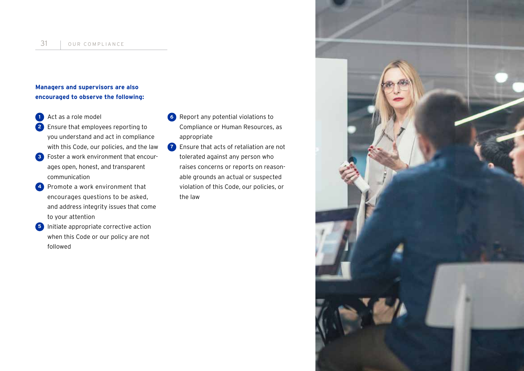## **Managers and supervisors are also encouraged to observe the following:**

- **1** Act as a role model
- **2** Ensure that employees reporting to you understand and act in compliance with this Code, our policies, and the law
- **3** Foster a work environment that encourages open, honest, and transparent communication
- **4** Promote a work environment that encourages questions to be asked, and address integrity issues that come to your attention
- **5** Initiate appropriate corrective action when this Code or our policy are not followed
- **6** Report any potential violations to Compliance or Human Resources, as appropriate
- **7** Ensure that acts of retaliation are not tolerated against any person who raises concerns or reports on reasonable grounds an actual or suspected violation of this Code, our policies, or the law